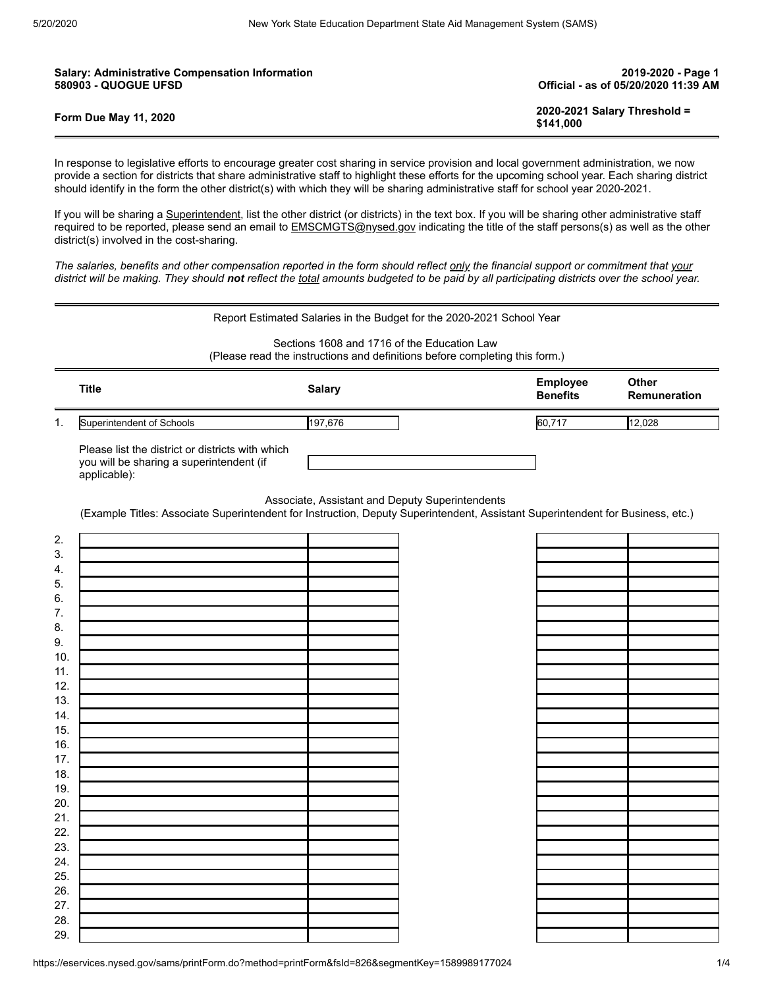| <b>Salary: Administrative Compensation Information</b> | 2019-2020 - Page 1                        |
|--------------------------------------------------------|-------------------------------------------|
| <b>580903 - QUOGUE UFSD</b>                            | Official - as of 05/20/2020 11:39 AM      |
| <b>Form Due May 11, 2020</b>                           | 2020-2021 Salary Threshold =<br>\$141.000 |

In response to legislative efforts to encourage greater cost sharing in service provision and local government administration, we now provide a section for districts that share administrative staff to highlight these efforts for the upcoming school year. Each sharing district should identify in the form the other district(s) with which they will be sharing administrative staff for school year 2020-2021.

If you will be sharing a Superintendent, list the other district (or districts) in the text box. If you will be sharing other administrative staff required to be reported, please send an email to **EMSCMGTS@nysed.gov** indicating the title of the staff persons(s) as well as the other district(s) involved in the cost-sharing.

*The salaries, benefits and other compensation reported in the form should reflect only the financial support or commitment that your district will be making. They should not reflect the total amounts budgeted to be paid by all participating districts over the school year.*

|                                                                                                                            |                                                                                                              | Report Estimated Salaries in the Budget for the 2020-2021 School Year |                                    |                                     |
|----------------------------------------------------------------------------------------------------------------------------|--------------------------------------------------------------------------------------------------------------|-----------------------------------------------------------------------|------------------------------------|-------------------------------------|
| Sections 1608 and 1716 of the Education Law<br>(Please read the instructions and definitions before completing this form.) |                                                                                                              |                                                                       |                                    |                                     |
|                                                                                                                            | <b>Title</b>                                                                                                 | <b>Salary</b>                                                         | <b>Employee</b><br><b>Benefits</b> | <b>Other</b><br><b>Remuneration</b> |
|                                                                                                                            | Superintendent of Schools                                                                                    | 197.676                                                               | 60,717                             | 12.028                              |
|                                                                                                                            | Please list the district or districts with which<br>you will be sharing a superintendent (if<br>applicable): |                                                                       |                                    |                                     |

Associate, Assistant and Deputy Superintendents

(Example Titles: Associate Superintendent for Instruction, Deputy Superintendent, Assistant Superintendent for Business, etc.)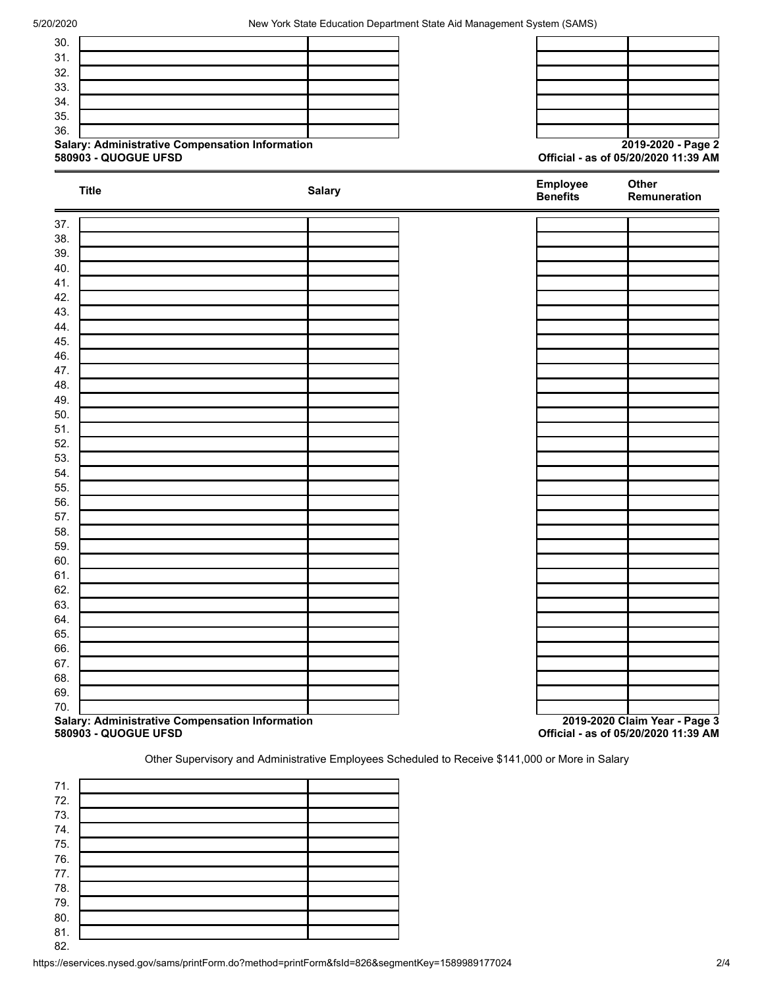| Salary: Administrative Compensation Information |               |                             | 2019-2020 - Page 2                   |
|-------------------------------------------------|---------------|-----------------------------|--------------------------------------|
| 580903 - QUOGUE UFSD                            |               |                             | Official - as of 05/20/2020 11:39 AM |
| <b>Title</b>                                    | <b>Salary</b> | Employee<br><b>Benefits</b> | Other<br>Remuneration                |
|                                                 |               |                             |                                      |
|                                                 |               |                             |                                      |
|                                                 |               |                             |                                      |
|                                                 |               |                             |                                      |
|                                                 |               |                             |                                      |
|                                                 |               |                             |                                      |
|                                                 |               |                             |                                      |
|                                                 |               |                             |                                      |
|                                                 |               |                             |                                      |
|                                                 |               |                             |                                      |
|                                                 |               |                             |                                      |
|                                                 |               |                             |                                      |
|                                                 |               |                             |                                      |
| 51.                                             |               |                             |                                      |
|                                                 |               |                             |                                      |
|                                                 |               |                             |                                      |
|                                                 |               |                             |                                      |
|                                                 |               |                             |                                      |
|                                                 |               |                             |                                      |
|                                                 |               |                             |                                      |
|                                                 |               |                             |                                      |
|                                                 |               |                             |                                      |
|                                                 |               |                             |                                      |
|                                                 |               |                             |                                      |
|                                                 |               |                             |                                      |
|                                                 |               |                             |                                      |
|                                                 |               |                             |                                      |
|                                                 |               |                             |                                      |
|                                                 |               |                             |                                      |
| 67.                                             |               |                             |                                      |
|                                                 |               |                             |                                      |
|                                                 |               |                             |                                      |

**580903 - QUOGUE UFSD Official - as of 05/20/2020 11:39 AM**

Other Supervisory and Administrative Employees Scheduled to Receive \$141,000 or More in Salary

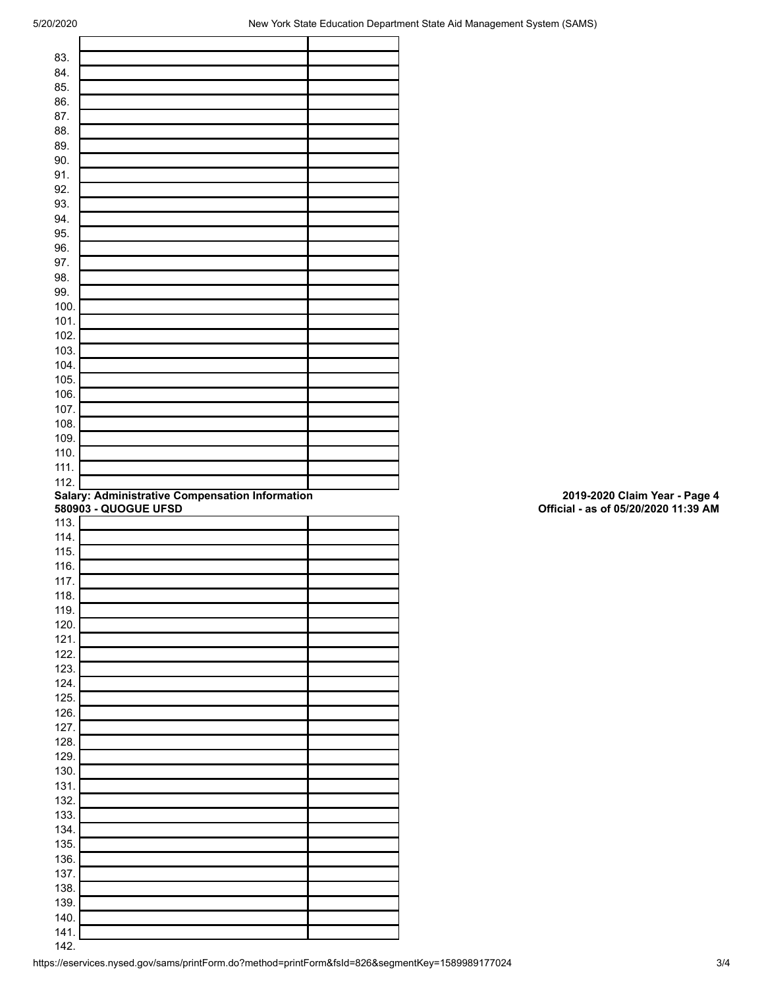| 83.          |                                                 |  |
|--------------|-------------------------------------------------|--|
| 84.          |                                                 |  |
| 85.          |                                                 |  |
| 86.          |                                                 |  |
| 87.          |                                                 |  |
| 88.          |                                                 |  |
| 89.          |                                                 |  |
| 90.          |                                                 |  |
| 91.          |                                                 |  |
| 92.          |                                                 |  |
|              |                                                 |  |
| 93.          |                                                 |  |
| 94.          |                                                 |  |
| 95.          |                                                 |  |
| 96.          |                                                 |  |
| 97.          |                                                 |  |
| 98.          |                                                 |  |
| 99.          |                                                 |  |
| 100.         |                                                 |  |
| 101.         |                                                 |  |
| 102.         |                                                 |  |
| 103.         |                                                 |  |
| 104.         |                                                 |  |
| 105.         |                                                 |  |
| 106.         |                                                 |  |
| 107.         |                                                 |  |
| 108.         |                                                 |  |
| 109.         |                                                 |  |
| 110.         |                                                 |  |
| 111.         |                                                 |  |
| 112.         |                                                 |  |
|              | Salary: Administrative Compensation Information |  |
|              |                                                 |  |
|              |                                                 |  |
| 113.         | 580903 - QUOGUE UFSD                            |  |
|              |                                                 |  |
| 114.         |                                                 |  |
| 115.         |                                                 |  |
| 116.         |                                                 |  |
| 117.         |                                                 |  |
| 118.         |                                                 |  |
| 119.         |                                                 |  |
| 120.         |                                                 |  |
| 121.         |                                                 |  |
| 122.         |                                                 |  |
| 123.         |                                                 |  |
| 124.         |                                                 |  |
| 125.         |                                                 |  |
| 126.         |                                                 |  |
| 127.         |                                                 |  |
| 128.         |                                                 |  |
| 129.         |                                                 |  |
| 130.         |                                                 |  |
| 131.         |                                                 |  |
| 132.         |                                                 |  |
| 133.         |                                                 |  |
| 134.         |                                                 |  |
| 135.         |                                                 |  |
| 136.         |                                                 |  |
|              |                                                 |  |
| 137.         |                                                 |  |
| 138.         |                                                 |  |
| 139.         |                                                 |  |
| 140.<br>141. |                                                 |  |

## **Salary: Administrative Compensation Information 2019-2020 Claim Year - Page 4 580903 - QUOGUE UFSD Official - as of 05/20/2020 11:39 AM**